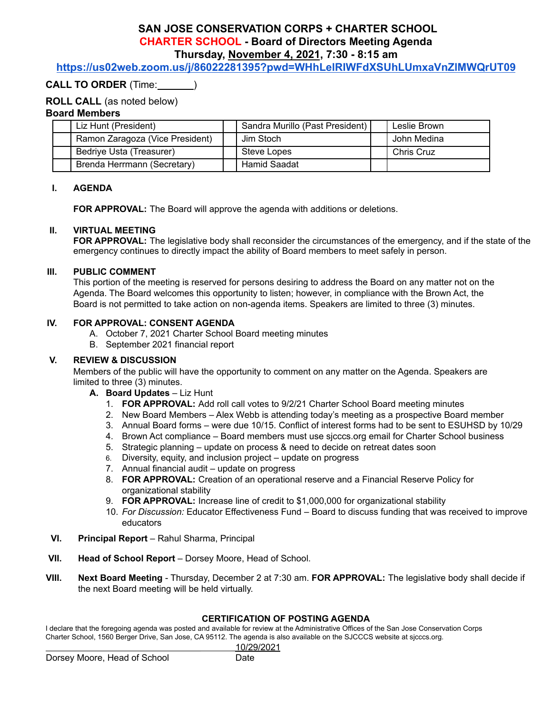# **SAN JOSE CONSERVATION CORPS + CHARTER SCHOOL CHARTER SCHOOL - Board of Directors Meeting Agenda Thursday, November 4, 2021, 7:30 - 8:15 am**

**<https://us02web.zoom.us/j/86022281395?pwd=WHhLelRIWFdXSUhLUmxaVnZlMWQrUT09>**

## **CALL TO ORDER** (Time: )

### **ROLL CALL** (as noted below)

#### **Board Members**

| Liz Hunt (President)            | Sandra Murillo (Past President) | Leslie Brown      |
|---------------------------------|---------------------------------|-------------------|
| Ramon Zaragoza (Vice President) | Jim Stoch                       | John Medina       |
| Bedriye Usta (Treasurer)        | Steve Lopes                     | <b>Chris Cruz</b> |
| Brenda Herrmann (Secretary)     | <b>Hamid Saadat</b>             |                   |

#### **I. AGENDA**

**FOR APPROVAL:** The Board will approve the agenda with additions or deletions.

#### **II. VIRTUAL MEETING**

**FOR APPROVAL:** The legislative body shall reconsider the circumstances of the emergency, and if the state of the emergency continues to directly impact the ability of Board members to meet safely in person.

#### **III. PUBLIC COMMENT**

This portion of the meeting is reserved for persons desiring to address the Board on any matter not on the Agenda. The Board welcomes this opportunity to listen; however, in compliance with the Brown Act, the Board is not permitted to take action on non-agenda items. Speakers are limited to three (3) minutes.

#### **IV. FOR APPROVAL: CONSENT AGENDA**

- A. October 7, 2021 Charter School Board meeting minutes
- B. September 2021 financial report

#### **V. REVIEW & DISCUSSION**

Members of the public will have the opportunity to comment on any matter on the Agenda. Speakers are limited to three (3) minutes.

- **A. Board Updates** Liz Hunt
	- 1. **FOR APPROVAL:** Add roll call votes to 9/2/21 Charter School Board meeting minutes
	- 2. New Board Members Alex Webb is attending today's meeting as a prospective Board member
	- 3. Annual Board forms were due 10/15. Conflict of interest forms had to be sent to ESUHSD by 10/29
	- 4. Brown Act compliance Board members must use sjcccs.org email for Charter School business
	- 5. Strategic planning update on process & need to decide on retreat dates soon
	- 6. Diversity, equity, and inclusion project update on progress
	- 7. Annual financial audit update on progress
	- 8. **FOR APPROVAL:** Creation of an operational reserve and a Financial Reserve Policy for organizational stability
	- 9. **FOR APPROVAL:** Increase line of credit to \$1,000,000 for organizational stability
	- 10. *For Discussion:* Educator Effectiveness Fund Board to discuss funding that was received to improve educators
- **VI. Principal Report** Rahul Sharma, Principal
- **VII. Head of School Report** Dorsey Moore, Head of School.
- **VIII. Next Board Meeting** Thursday, December 2 at 7:30 am. **FOR APPROVAL:** The legislative body shall decide if the next Board meeting will be held virtually.

# **CERTIFICATION OF POSTING AGENDA**

I declare that the foregoing agenda was posted and available for review at the Administrative Offices of the San Jose Conservation Corps Charter School, 1560 Berger Drive, San Jose, CA 95112. The agenda is also available on the SJCCCS website at sjcccs.org.